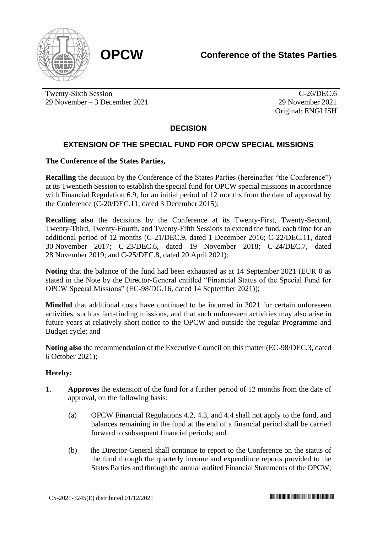

Twenty-Sixth Session 29 November – 3 December 2021

C-26/DEC.6 29 November 2021 Original: ENGLISH

## **DECISION**

## **EXTENSION OF THE SPECIAL FUND FOR OPCW SPECIAL MISSIONS**

## **The Conference of the States Parties,**

**Recalling** the decision by the Conference of the States Parties (hereinafter "the Conference") at its Twentieth Session to establish the special fund for OPCW special missions in accordance with Financial Regulation 6.9, for an initial period of 12 months from the date of approval by the Conference (C-20/DEC.11, dated 3 December 2015);

**Recalling also** the decisions by the Conference at its Twenty-First, Twenty-Second, Twenty-Third, Twenty-Fourth, and Twenty-Fifth Sessions to extend the fund, each time for an additional period of 12 months (C-21/DEC.9, dated 1 December 2016; C-22/DEC.11, dated 30 November 2017; C-23/DEC.6, dated 19 November 2018; C-24/DEC.7, dated 28 November 2019; and C-25/DEC.8, dated 20 April 2021);

**Noting** that the balance of the fund had been exhausted as at 14 September 2021 (EUR 0 as stated in the Note by the Director-General entitled "Financial Status of the Special Fund for OPCW Special Missions" (EC-98/DG.16, dated 14 September 2021));

**Mindful** that additional costs have continued to be incurred in 2021 for certain unforeseen activities, such as fact-finding missions, and that such unforeseen activities may also arise in future years at relatively short notice to the OPCW and outside the regular Programme and Budget cycle; and

**Noting also** the recommendation of the Executive Council on this matter (EC-98/DEC.3, dated 6 October 2021);

## **Hereby:**

- 1. **Approves** the extension of the fund for a further period of 12 months from the date of approval, on the following basis:
	- (a) OPCW Financial Regulations 4.2, 4.3, and 4.4 shall not apply to the fund, and balances remaining in the fund at the end of a financial period shall be carried forward to subsequent financial periods; and
	- (b) the Director-General shall continue to report to the Conference on the status of the fund through the quarterly income and expenditure reports provided to the States Parties and through the annual audited Financial Statements of the OPCW;